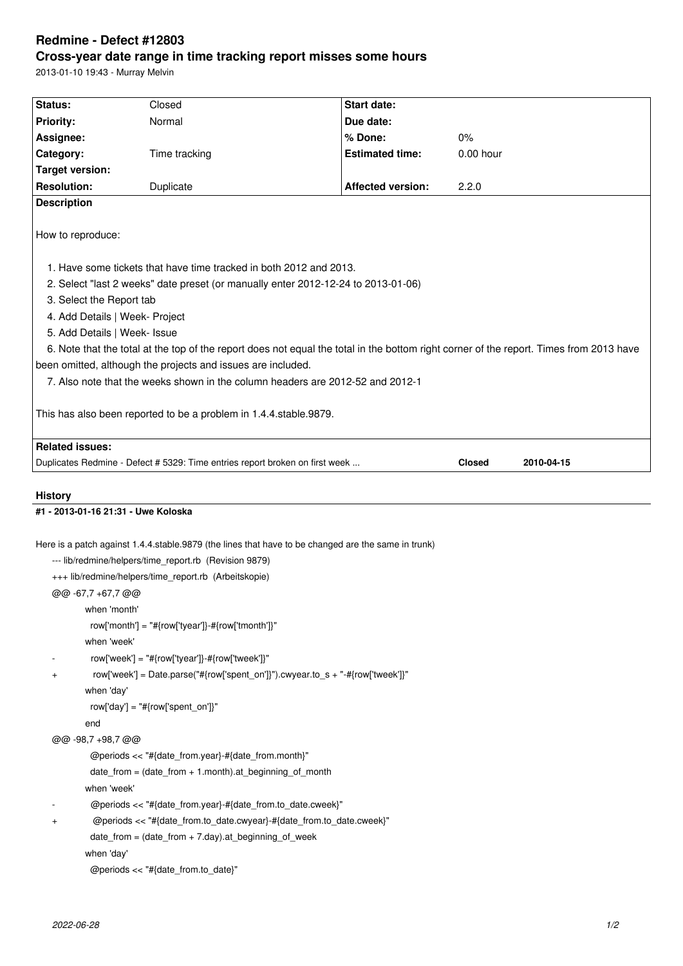## **Redmine - Defect #12803 Cross-year date range in time tracking report misses some hours**

2013-01-10 19:43 - Murray Melvin

| Status:                                                                                    | Closed                                                                                                                                                                                                                                                                                                                                                                                                                                                 | <b>Start date:</b>       |                                                                                                                                         |  |
|--------------------------------------------------------------------------------------------|--------------------------------------------------------------------------------------------------------------------------------------------------------------------------------------------------------------------------------------------------------------------------------------------------------------------------------------------------------------------------------------------------------------------------------------------------------|--------------------------|-----------------------------------------------------------------------------------------------------------------------------------------|--|
| <b>Priority:</b>                                                                           | Normal                                                                                                                                                                                                                                                                                                                                                                                                                                                 | Due date:                |                                                                                                                                         |  |
| Assignee:                                                                                  |                                                                                                                                                                                                                                                                                                                                                                                                                                                        | % Done:                  | 0%                                                                                                                                      |  |
| Category:                                                                                  | Time tracking                                                                                                                                                                                                                                                                                                                                                                                                                                          | <b>Estimated time:</b>   | $0.00$ hour                                                                                                                             |  |
| <b>Target version:</b>                                                                     |                                                                                                                                                                                                                                                                                                                                                                                                                                                        |                          |                                                                                                                                         |  |
| <b>Resolution:</b>                                                                         | Duplicate                                                                                                                                                                                                                                                                                                                                                                                                                                              | <b>Affected version:</b> | 2.2.0                                                                                                                                   |  |
| <b>Description</b>                                                                         |                                                                                                                                                                                                                                                                                                                                                                                                                                                        |                          |                                                                                                                                         |  |
| How to reproduce:                                                                          |                                                                                                                                                                                                                                                                                                                                                                                                                                                        |                          |                                                                                                                                         |  |
| 3. Select the Report tab<br>4. Add Details   Week- Project<br>5. Add Details   Week- Issue | 1. Have some tickets that have time tracked in both 2012 and 2013.<br>2. Select "last 2 weeks" date preset (or manually enter 2012-12-24 to 2013-01-06)                                                                                                                                                                                                                                                                                                |                          | 6. Note that the total at the top of the report does not equal the total in the bottom right corner of the report. Times from 2013 have |  |
|                                                                                            | been omitted, although the projects and issues are included.<br>7. Also note that the weeks shown in the column headers are 2012-52 and 2012-1<br>This has also been reported to be a problem in 1.4.4.stable.9879.                                                                                                                                                                                                                                    |                          |                                                                                                                                         |  |
| <b>Related issues:</b>                                                                     |                                                                                                                                                                                                                                                                                                                                                                                                                                                        |                          |                                                                                                                                         |  |
|                                                                                            | Duplicates Redmine - Defect # 5329: Time entries report broken on first week                                                                                                                                                                                                                                                                                                                                                                           |                          | <b>Closed</b><br>2010-04-15                                                                                                             |  |
|                                                                                            |                                                                                                                                                                                                                                                                                                                                                                                                                                                        |                          |                                                                                                                                         |  |
|                                                                                            |                                                                                                                                                                                                                                                                                                                                                                                                                                                        |                          |                                                                                                                                         |  |
|                                                                                            |                                                                                                                                                                                                                                                                                                                                                                                                                                                        |                          |                                                                                                                                         |  |
| <b>History</b><br>#1 - 2013-01-16 21:31 - Uwe Koloska                                      |                                                                                                                                                                                                                                                                                                                                                                                                                                                        |                          |                                                                                                                                         |  |
| @@ -67,7 +67,7 @@<br>when 'month'<br>when 'week'<br>+<br>when 'day'<br>end                 | Here is a patch against 1.4.4.stable.9879 (the lines that have to be changed are the same in trunk)<br>--- lib/redmine/helpers/time_report.rb (Revision 9879)<br>+++ lib/redmine/helpers/time_report.rb (Arbeitskopie)<br>row['month'] = "#{row['tyear']}-#{row['tmonth']}"<br>row['week'] = "#{row['tyear']}-#{row['tweek']}"<br>row['week'] = Date.parse("#{row['spent_on']}").cwyear.to_s + "-#{row['tweek']}"<br>row['day'] = "#{row['spent_on']}" |                          |                                                                                                                                         |  |
| @@ -98,7 +98,7 @@                                                                          |                                                                                                                                                                                                                                                                                                                                                                                                                                                        |                          |                                                                                                                                         |  |
|                                                                                            | @periods << "#{date_from.year}-#{date_from.month}"<br>$date_from = (date_from + 1.month).at_beginning_of_month$                                                                                                                                                                                                                                                                                                                                        |                          |                                                                                                                                         |  |

- @periods << "#{date\_from.year}-#{date\_from.to\_date.cweek}"
- + @periods << "#{date\_from.to\_date.cwyear}-#{date\_from.to\_date.cweek}"

```
 date_from = (date_from + 7.day).at_beginning_of_week
```
when 'day'

```
 @periods << "#{date_from.to_date}"
```